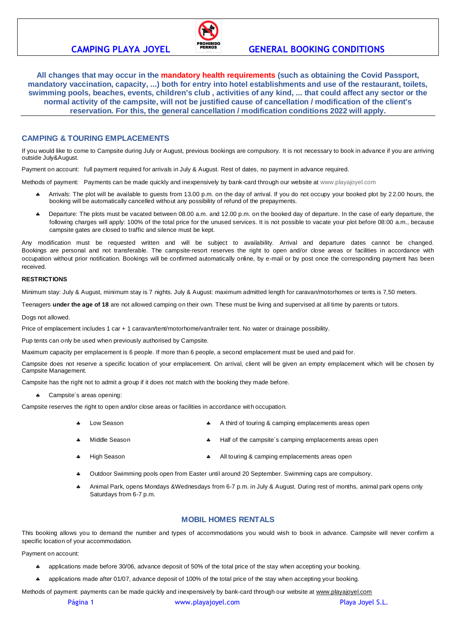

# **CAMPING PLAYA JOYEL FERROS GENERAL BOOKING CONDITIONS**

**All changes that may occur in the mandatory health requirements (such as obtaining the Covid Passport, mandatory vaccination, capacity, ...) both for entry into hotel establishments and use of the restaurant, toilets, swimming pools, beaches, events, children's club , activities of any kind, ... that could affect any sector or the normal activity of the campsite, will not be justified cause of cancellation / modification of the client's reservation. For this, the general cancellation / modification conditions 2022 will apply.**

# **CAMPING & TOURING EMPLACEMENTS**

If you would like to come to Campsite during July or August, previous bookings are compulsory. It is not necessary to book in advance if you are arriving outside July&August.

Payment on account: full payment required for arrivals in July & August. Rest of dates, no payment in advance required.

Methods of payment: Payments can be made quickly and inexpensively by bank-card through our website at [www.playajoyel.com](http://www.playajoyel.com/)

- Arrivals: The plot will be available to guests from 13.00 p.m. on the day of arrival. If you do not occupy your booked plot by 22.00 hours, the booking will be automatically cancelled without any possibility of refund of the prepayments.
- Departure: The plots must be vacated between 08.00 a.m. and 12.00 p.m. on the booked day of departure. In the case of early departure, the following charges will apply: 100% of the total price for the unused services. It is not possible to vacate your plot before 08:00 a.m., because campsite gates are closed to traffic and silence must be kept.

Any modification must be requested written and will be subject to availability. Arrival and departure dates cannot be changed. Bookings are personal and not transferable. The campsite-resort reserves the right to open and/or close areas or facilities in accordance with occupation without prior notification. Bookings will be confirmed automatically online, by e-mail or by post once the corresponding payment has been received.

# **RESTRICTIONS**

Minimum stay: July & August, minimum stay is 7 nights. July & August: maximum admitted length for caravan/motorhomes or tents is 7,50 meters.

Teenagers **under the age of 18** are not allowed camping on their own. These must be living and supervised at all time by parents or tutors.

Dogs not allowed.

Price of emplacement includes 1 car + 1 caravan/tent/motorhome/van/trailer tent. No water or drainage possibility.

Pup tents can only be used when previously authorised by Campsite.

Maximum capacity per emplacement is 6 people. If more than 6 people, a second emplacement must be used and paid for.

Campsite does not reserve a specific location of your emplacement. On arrival, client will be given an empty emplacement which will be chosen by Campsite Management.

Campsite has the right not to admit a group if it does not match with the booking they made before.

\* Campsite's areas opening:

Campsite reserves the right to open and/or close areas or facilities in accordance with occupation.

- Low Season **A** A third of touring & camping emplacements areas open
- Middle Season **A** Half of the campsite's camping emplacements areas open
- High Season **ALL Season ALL TEAD ASSESS** All touring & camping emplacements areas open
- Outdoor Swimming pools open from Easter until around 20 September. Swimming caps are compulsory.
- Animal Park, opens Mondays &Wednesdays from 6-7 p.m. in July & August. During rest of months, animal park opens only Saturdays from 6-7 p.m.

# **MOBIL HOMES RENTALS**

This booking allows you to demand the number and types of accommodations you would wish to book in advance. Campsite will never confirm a specific location of your accommodation.

Payment on account:

- applications made before 30/06, advance deposit of 50% of the total price of the stay when accepting your booking.
- applications made after 01/07, advance deposit of 100% of the total price of the stay when accepting your booking.

Methods of payment: payments can be made quickly and inexpensively by bank-card through our website at [www.playajoyel.com](http://www.playajoyel.com/)

Página 1 **www.playajoyel.com Pagina 1** Playa Joyel S.L.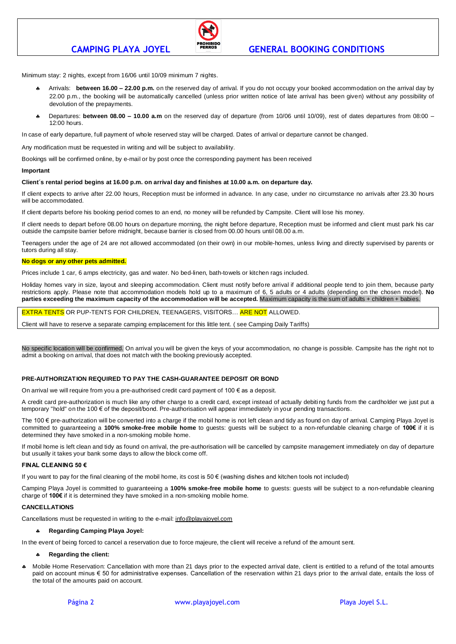

# **CAMPING PLAYA JOYEL GENERAL BOOKING CONDITIONS**

Minimum stay: 2 nights, except from 16/06 until 10/09 minimum 7 nights.

- Arrivals: **between 16.00 – 22.00 p.m.** on the reserved day of arrival. If you do not occupy your booked accommodation on the arrival day by 22.00 p.m., the booking will be automatically cancelled (unless prior written notice of late arrival has been given) without any possibility of devolution of the prepayments.
- Departures: **between 08.00 – 10.00 a.m** on the reserved day of departure (from 10/06 until 10/09), rest of dates departures from 08:00 12:00 hours.

In case of early departure, full payment of whole reserved stay will be charged. Dates of arrival or departure cannot be changed.

Any modification must be requested in writing and will be subject to availability.

Bookings will be confirmed online, by e-mail or by post once the corresponding payment has been received

### **Important**

### **Client´s rental period begins at 16.00 p.m. on arrival day and finishes at 10.00 a.m. on departure day.**

If client expects to arrive after 22.00 hours, Reception must be informed in advance. In any case, under no circumstance no arrivals after 23.30 hours will be accommodated.

If client departs before his booking period comes to an end, no money will be refunded by Campsite. Client will lose his money.

If client needs to depart before 08.00 hours on departure morning, the night before departure, Reception must be informed and client must park his car outside the campsite barrier before midnight, because barrier is closed from 00.00 hours until 08.00 a.m.

Teenagers under the age of 24 are not allowed accommodated (on their own) in our mobile-homes, unless living and directly supervised by parents or tutors during all stay.

### **No dogs or any other pets admitted.**

Prices include 1 car, 6 amps electricity, gas and water. No bed-linen, bath-towels or kitchen rags included.

Holiday homes vary in size, layout and sleeping accommodation. Client must notify before arrival if additional people tend to join them, because party restrictions apply. Please note that accommodation models hold up to a maximum of 6, 5 adults or 4 adults (depending on the chosen model). **No parties exceeding the maximum capacity of the accommodation will be accepted.** Maximum capacity is the sum of adults + children + babies.

EXTRA TENTS OR PUP-TENTS FOR CHILDREN, TEENAGERS, VISITORS… ARE NOT ALLOWED.

Client will have to reserve a separate camping emplacement for this little tent. ( see Camping Daily Tariffs)

No specific location will be confirmed. On arrival you will be given the keys of your accommodation, no change is possible. Campsite has the right not to admit a booking on arrival, that does not match with the booking previously accepted.

## **PRE-AUTHORIZATION REQUIRED TO PAY THE CASH-GUARANTEE DEPOSIT OR BOND**

On arrival we will require from you a pre-authorised credit card payment of  $100 \in \text{as a deposit.}$ 

A credit card pre-authorization is much like any other charge to a credit card, except instead of actually debiting funds from the cardholder we just put a temporary "hold" on the 100 € of the deposit/bond. Pre-authorisation will appear immediately in your pending transactions.

The 100 € pre-authorization will be converted into a charge if the mobil home is not left clean and tidy as found on day of arrival. Camping Playa Joyel is committed to guaranteeing a **100% smoke-free mobile home** to guests: guests will be subject to a non-refundable cleaning charge of **100€** if it is determined they have smoked in a non-smoking mobile home.

If mobil home is left clean and tidy as found on arrival, the pre-authorisation will be cancelled by campsite management immediately on day of departure but usually it takes your bank some days to allow the block come off.

#### **FINAL CLEANING 50 €**

If you want to pay for the final cleaning of the mobil home, its cost is  $50 \in$  (washing dishes and kitchen tools not included)

Camping Playa Joyel is committed to guaranteeing a **100% smoke-free mobile home** to guests: guests will be subject to a non-refundable cleaning charge of **100€** if it is determined they have smoked in a non-smoking mobile home.

# **CANCELLATIONS**

Cancellations must be requested in writing to the e-mail: [info@playajoyel.com](mailto:info@playajoyel.com)

## **Regarding Camping Playa Joyel:**

In the event of being forced to cancel a reservation due to force majeure, the client will receive a refund of the amount sent.

### **Regarding the client:**

 Mobile Home Reservation: Cancellation with more than 21 days prior to the expected arrival date, client is entitled to a refund of the total amounts paid on account minus € 50 for administrative expenses. Cancellation of the reservation within 21 days prior to the arrival date, entails the loss of the total of the amounts paid on account.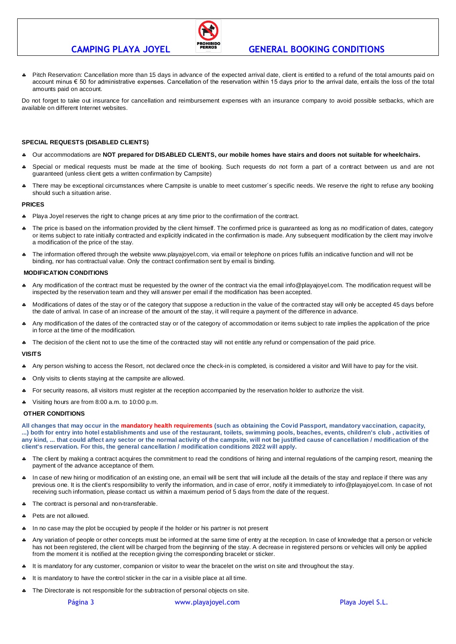

# **CAMPING PLAYA JOYEL GENERAL BOOKING CONDITIONS**

 Pitch Reservation: Cancellation more than 15 days in advance of the expected arrival date, client is entitled to a refund of the total amounts paid on account minus € 50 for administrative expenses. Cancellation of the reservation within 15 days prior to the arrival date, ent ails the loss of the total amounts paid on account.

Do not forget to take out insurance for cancellation and reimbursement expenses with an insurance company to avoid possible setbacks, which are available on different Internet websites.

# **SPECIAL REQUESTS (DISABLED CLIENTS)**

- Our accommodations are **NOT prepared for DISABLED CLIENTS, our mobile homes have stairs and doors not suitable for wheelchairs.**
- Special or medical requests must be made at the time of booking. Such requests do not form a part of a contract between us and are not guaranteed (unless client gets a written confirmation by Campsite)
- \* There may be exceptional circumstances where Campsite is unable to meet customer's specific needs. We reserve the right to refuse any booking should such a situation arise.

## **PRICES**

- Playa Joyel reserves the right to change prices at any time prior to the confirmation of the contract.
- The price is based on the information provided by the client himself. The confirmed price is guaranteed as long as no modification of dates, category or items subject to rate initially contracted and explicitly indicated in the confirmation is made. Any subsequent modification by the client may involve a modification of the price of the stay.
- The information offered through the website www.playajoyel.com, via email or telephone on prices fulfils an indicative function and will not be binding, nor has contractual value. Only the contract confirmation sent by email is binding.

# **MODIFICATION CONDITIONS**

- Any modification of the contract must be requested by the owner of the contract via the email info@playajoyel.com. The modification request will be inspected by the reservation team and they will answer per email if the modification has been accepted.
- Modifications of dates of the stay or of the category that suppose a reduction in the value of the contracted stay will only be accepted 45 days before the date of arrival. In case of an increase of the amount of the stay, it will require a payment of the difference in advance.
- Any modification of the dates of the contracted stay or of the category of accommodation or items subject to rate implies the application of the price in force at the time of the modification.
- The decision of the client not to use the time of the contracted stay will not entitle any refund or compensation of the paid price.

## **VISITS**

- A Any person wishing to access the Resort, not declared once the check-in is completed, is considered a visitor and Will have to pay for the visit.
- Only visits to clients staying at the campsite are allowed.
- For security reasons, all visitors must register at the reception accompanied by the reservation holder to authorize the visit.
- Visiting hours are from 8:00 a.m. to 10:00 p.m.

## **OTHER CONDITIONS**

**All changes that may occur in the mandatory health requirements (such as obtaining the Covid Passport, mandatory vaccination, capacity, ...) both for entry into hotel establishments and use of the restaurant, toilets, swimming pools, beaches, events, children's club , activities of any kind, ... that could affect any sector or the normal activity of the campsite, will not be justified cause of cancellation / modification of the client's reservation. For this, the general cancellation / modification conditions 2022 will apply.**

- \* The client by making a contract acquires the commitment to read the conditions of hiring and internal regulations of the camping resort, meaning the payment of the advance acceptance of them.
- In case of new hiring or modification of an existing one, an email will be sent that will include all the details of the stay and replace if there was any previous one. It is the client's responsibility to verify the information, and in case of error, notify it immediately to [info@playajoyel.com.](mailto:info@playajoyel.com) In case of not receiving such information, please contact us within a maximum period of 5 days from the date of the request.
- \* The contract is personal and non-transferable.
- Pets are not allowed.
- In no case may the plot be occupied by people if the holder or his partner is not present
- A Any variation of people or other concepts must be informed at the same time of entry at the reception. In case of knowledge that a person or vehicle has not been registered, the client will be charged from the beginning of the stay. A decrease in registered persons or vehicles will only be applied from the moment it is notified at the reception giving the corresponding bracelet or sticker.
- It is mandatory for any customer, companion or visitor to wear the bracelet on the wrist on site and throughout the stay.
- It is mandatory to have the control sticker in the car in a visible place at all time.
- The Directorate is not responsible for the subtraction of personal objects on site.